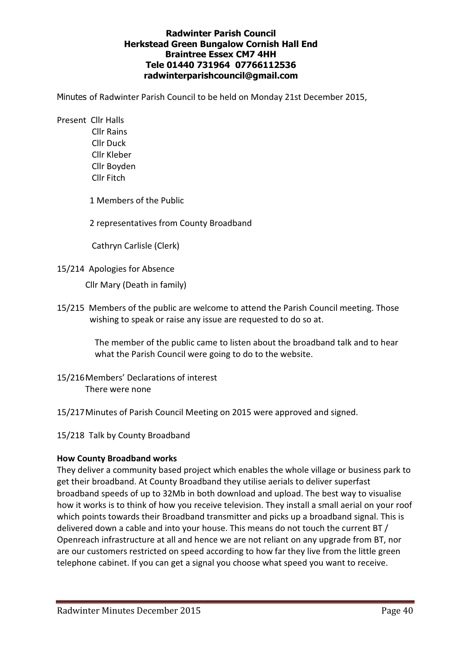### Radwinter Parish Council Herkstead Green Bungalow Cornish Hall End Braintree Essex CM7 4HH Tele 01440 731964 07766112536 radwinterparishcouncil@gmail.com

Minutes of Radwinter Parish Council to be held on Monday 21st December 2015,

Present Cllr Halls

 Cllr Rains Cllr Duck Cllr Kleber Cllr Boyden Cllr Fitch

1 Members of the Public

2 representatives from County Broadband

Cathryn Carlisle (Clerk)

15/214 Apologies for Absence

Cllr Mary (Death in family)

15/215 Members of the public are welcome to attend the Parish Council meeting. Those wishing to speak or raise any issue are requested to do so at.

> The member of the public came to listen about the broadband talk and to hear what the Parish Council were going to do to the website.

- 15/216 Members' Declarations of interest There were none
- 15/217 Minutes of Parish Council Meeting on 2015 were approved and signed.

15/218 Talk by County Broadband

#### How County Broadband works

They deliver a community based project which enables the whole village or business park to get their broadband. At County Broadband they utilise aerials to deliver superfast broadband speeds of up to 32Mb in both download and upload. The best way to visualise how it works is to think of how you receive television. They install a small aerial on your roof which points towards their Broadband transmitter and picks up a broadband signal. This is delivered down a cable and into your house. This means do not touch the current BT / Openreach infrastructure at all and hence we are not reliant on any upgrade from BT, nor are our customers restricted on speed according to how far they live from the little green telephone cabinet. If you can get a signal you choose what speed you want to receive.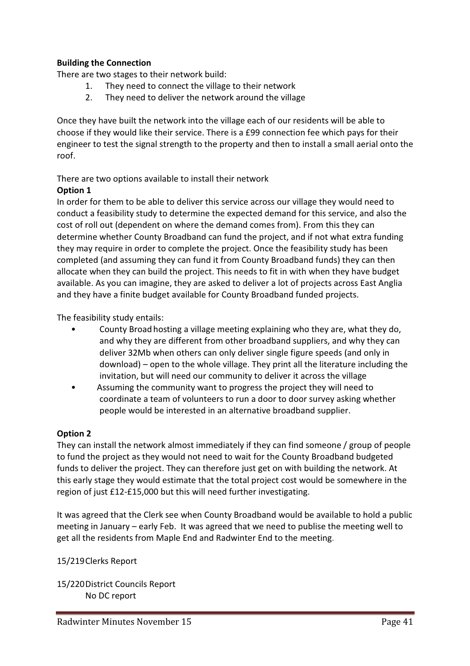## Building the Connection

There are two stages to their network build:

- 1. They need to connect the village to their network
- 2. They need to deliver the network around the village

Once they have built the network into the village each of our residents will be able to choose if they would like their service. There is a £99 connection fee which pays for their engineer to test the signal strength to the property and then to install a small aerial onto the roof.

# There are two options available to install their network

## Option 1

In order for them to be able to deliver this service across our village they would need to conduct a feasibility study to determine the expected demand for this service, and also the cost of roll out (dependent on where the demand comes from). From this they can determine whether County Broadband can fund the project, and if not what extra funding they may require in order to complete the project. Once the feasibility study has been completed (and assuming they can fund it from County Broadband funds) they can then allocate when they can build the project. This needs to fit in with when they have budget available. As you can imagine, they are asked to deliver a lot of projects across East Anglia and they have a finite budget available for County Broadband funded projects.

The feasibility study entails:

- County Broadhosting a village meeting explaining who they are, what they do, and why they are different from other broadband suppliers, and why they can deliver 32Mb when others can only deliver single figure speeds (and only in download) – open to the whole village. They print all the literature including the invitation, but will need our community to deliver it across the village
- Assuming the community want to progress the project they will need to coordinate a team of volunteers to run a door to door survey asking whether people would be interested in an alternative broadband supplier.

## Option 2

They can install the network almost immediately if they can find someone / group of people to fund the project as they would not need to wait for the County Broadband budgeted funds to deliver the project. They can therefore just get on with building the network. At this early stage they would estimate that the total project cost would be somewhere in the region of just £12-£15,000 but this will need further investigating.

It was agreed that the Clerk see when County Broadband would be available to hold a public meeting in January – early Feb. It was agreed that we need to publise the meeting well to get all the residents from Maple End and Radwinter End to the meeting.

## 15/219 Clerks Report

15/220 District Councils Report No DC report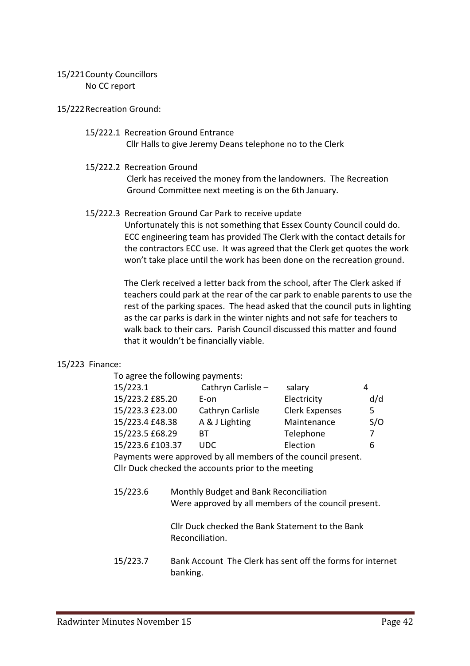### 15/221 County Councillors No CC report

15/222 Recreation Ground:

#### 15/222.1 Recreation Ground Entrance Cllr Halls to give Jeremy Deans telephone no to the Clerk

15/222.2 Recreation Ground

 Clerk has received the money from the landowners. The Recreation Ground Committee next meeting is on the 6th January.

## 15/222.3 Recreation Ground Car Park to receive update

 Unfortunately this is not something that Essex County Council could do. ECC engineering team has provided The Clerk with the contact details for the contractors ECC use. It was agreed that the Clerk get quotes the work won't take place until the work has been done on the recreation ground.

 The Clerk received a letter back from the school, after The Clerk asked if teachers could park at the rear of the car park to enable parents to use the rest of the parking spaces. The head asked that the council puts in lighting as the car parks is dark in the winter nights and not safe for teachers to walk back to their cars. Parish Council discussed this matter and found that it wouldn't be financially viable.

## 15/223 Finance:

| To agree the following payments: |                                                             |                       |     |  |
|----------------------------------|-------------------------------------------------------------|-----------------------|-----|--|
| 15/223.1                         | Cathryn Carlisle -                                          | salary                | 4   |  |
| 15/223.2 £85.20                  | E-on                                                        | Electricity           | d/d |  |
| 15/223.3 £23.00                  | Cathryn Carlisle                                            | <b>Clerk Expenses</b> | 5.  |  |
| 15/223.4 £48.38                  | A & J Lighting                                              | Maintenance           | S/O |  |
| 15/223.5 £68.29                  | вт                                                          | Telephone             | 7   |  |
| 15/223.6 £103.37                 | UDC.                                                        | Election              | 6   |  |
|                                  | Downants were approved by all members of the seupel present |                       |     |  |

 Payments were approved by all members of the council present. Cllr Duck checked the accounts prior to the meeting

 15/223.6 Monthly Budget and Bank Reconciliation Were approved by all members of the council present.

> Cllr Duck checked the Bank Statement to the Bank Reconciliation.

 15/223.7 Bank Account The Clerk has sent off the forms for internet banking.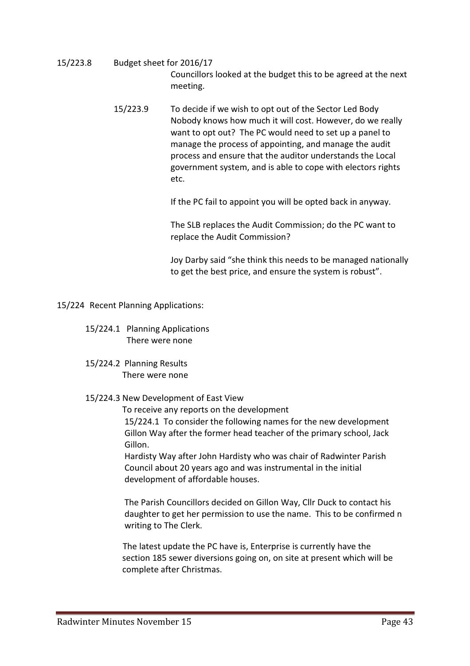- 15/223.8 Budget sheet for 2016/17 Councillors looked at the budget this to be agreed at the next meeting.
- 15/223.9 To decide if we wish to opt out of the Sector Led Body Nobody knows how much it will cost. However, do we really want to opt out? The PC would need to set up a panel to manage the process of appointing, and manage the audit process and ensure that the auditor understands the Local government system, and is able to cope with electors rights etc. The contract of the contract of the contract of the contract of the contract of the contract of the contract of the contract of the contract of the contract of the contract of the contract of the contract of the contr

If the PC fail to appoint you will be opted back in anyway.

 The SLB replaces the Audit Commission; do the PC want to replace the Audit Commission?

 Joy Darby said "she think this needs to be managed nationally to get the best price, and ensure the system is robust".

15/224 Recent Planning Applications:

- 15/224.1 Planning Applications There were none
- 15/224.2 Planning Results There were none

#### 15/224.3 New Development of East View

 To receive any reports on the development 15/224.1 To consider the following names for the new development Gillon Way after the former head teacher of the primary school, Jack Gillon.

 Hardisty Way after John Hardisty who was chair of Radwinter Parish Council about 20 years ago and was instrumental in the initial development of affordable houses.

 The Parish Councillors decided on Gillon Way, Cllr Duck to contact his daughter to get her permission to use the name. This to be confirmed n writing to The Clerk.

 The latest update the PC have is, Enterprise is currently have the section 185 sewer diversions going on, on site at present which will be complete after Christmas.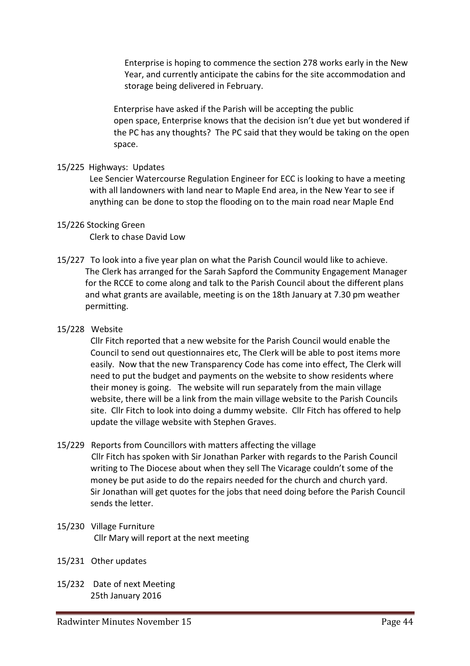Enterprise is hoping to commence the section 278 works early in the New Year, and currently anticipate the cabins for the site accommodation and storage being delivered in February.

 Enterprise have asked if the Parish will be accepting the public open space, Enterprise knows that the decision isn't due yet but wondered if the PC has any thoughts? The PC said that they would be taking on the open space.

#### 15/225 Highways: Updates

 Lee Sencier Watercourse Regulation Engineer for ECC is looking to have a meeting with all landowners with land near to Maple End area, in the New Year to see if anything can be done to stop the flooding on to the main road near Maple End

#### 15/226 Stocking Green

Clerk to chase David Low

15/227 To look into a five year plan on what the Parish Council would like to achieve. The Clerk has arranged for the Sarah Sapford the Community Engagement Manager for the RCCE to come along and talk to the Parish Council about the different plans and what grants are available, meeting is on the 18th January at 7.30 pm weather permitting.

#### 15/228 Website

 Cllr Fitch reported that a new website for the Parish Council would enable the Council to send out questionnaires etc, The Clerk will be able to post items more easily. Now that the new Transparency Code has come into effect, The Clerk will need to put the budget and payments on the website to show residents where their money is going. The website will run separately from the main village website, there will be a link from the main village website to the Parish Councils site. Cllr Fitch to look into doing a dummy website. Cllr Fitch has offered to help update the village website with Stephen Graves.

15/229 Reports from Councillors with matters affecting the village

 Cllr Fitch has spoken with Sir Jonathan Parker with regards to the Parish Council writing to The Diocese about when they sell The Vicarage couldn't some of the money be put aside to do the repairs needed for the church and church yard. Sir Jonathan will get quotes for the jobs that need doing before the Parish Council sends the letter.

- 15/230 Village Furniture Cllr Mary will report at the next meeting
- 15/231 Other updates
- 15/232 Date of next Meeting 25th January 2016